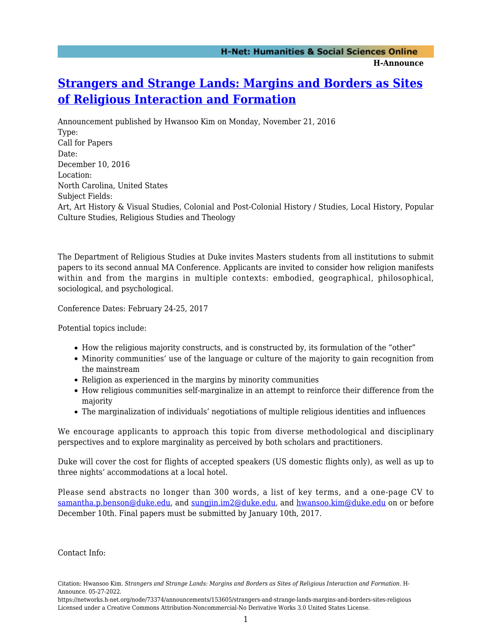## **[Strangers and Strange Lands: Margins and Borders as Sites](https://networks.h-net.org/node/73374/announcements/153605/strangers-and-strange-lands-margins-and-borders-sites-religious) [of Religious Interaction and Formation](https://networks.h-net.org/node/73374/announcements/153605/strangers-and-strange-lands-margins-and-borders-sites-religious)**

Announcement published by Hwansoo Kim on Monday, November 21, 2016 Type: Call for Papers Date: December 10, 2016 Location: North Carolina, United States Subject Fields: Art, Art History & Visual Studies, Colonial and Post-Colonial History / Studies, Local History, Popular Culture Studies, Religious Studies and Theology

The Department of Religious Studies at Duke invites Masters students from all institutions to submit papers to its second annual MA Conference. Applicants are invited to consider how religion manifests within and from the margins in multiple contexts: embodied, geographical, philosophical, sociological, and psychological.

Conference Dates: February 24-25, 2017

Potential topics include:

- How the religious majority constructs, and is constructed by, its formulation of the "other"
- Minority communities' use of the language or culture of the majority to gain recognition from the mainstream
- Religion as experienced in the margins by minority communities
- How religious communities self-marginalize in an attempt to reinforce their difference from the majority
- The marginalization of individuals' negotiations of multiple religious identities and influences

We encourage applicants to approach this topic from diverse methodological and disciplinary perspectives and to explore marginality as perceived by both scholars and practitioners.

Duke will cover the cost for flights of accepted speakers (US domestic flights only), as well as up to three nights' accommodations at a local hotel.

Please send abstracts no longer than 300 words, a list of key terms, and a one-page CV to [samantha.p.benson@duke.edu](mailto:samantha.p.benson@duke.edu), and [sungjin.im2@duke.edu](mailto:sungjin.im2@duke.edu), and [hwansoo.kim@duke.edu](mailto:hwansoo.kim@duke.edu) on or before December 10th. Final papers must be submitted by January 10th, 2017.

Contact Info:

Citation: Hwansoo Kim. *Strangers and Strange Lands: Margins and Borders as Sites of Religious Interaction and Formation*. H-Announce. 05-27-2022.

https://networks.h-net.org/node/73374/announcements/153605/strangers-and-strange-lands-margins-and-borders-sites-religious Licensed under a Creative Commons Attribution-Noncommercial-No Derivative Works 3.0 United States License.